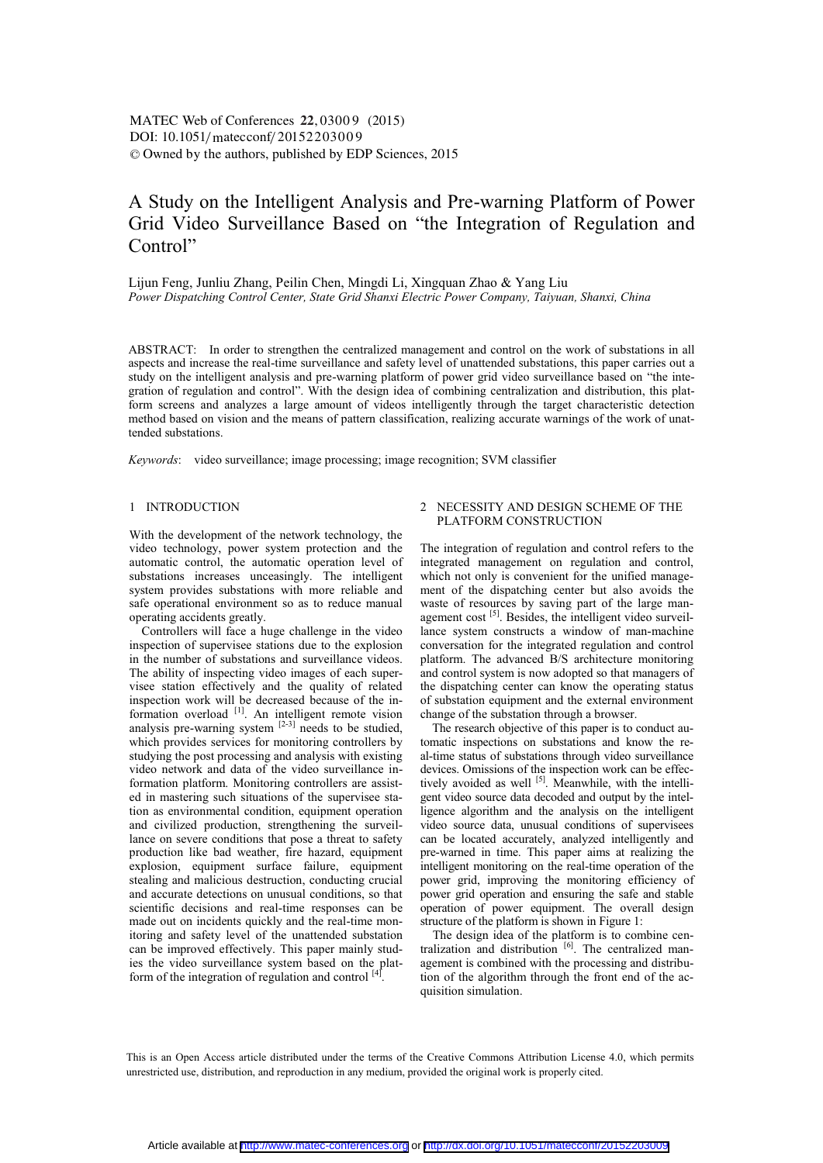# A Study on the Intelligent Analysis and Pre-warning Platform of Power Grid Video Surveillance Based on "the Integration of Regulation and Control"

Lijun Feng, Junliu Zhang, Peilin Chen, Mingdi Li, Xingquan Zhao & Yang Liu *Power Dispatching Control Center, State Grid Shanxi Electric Power Company, Taiyuan, Shanxi, China* 

ABSTRACT: In order to strengthen the centralized management and control on the work of substations in all aspects and increase the real-time surveillance and safety level of unattended substations, this paper carries out a study on the intelligent analysis and pre-warning platform of power grid video surveillance based on "the integration of regulation and control". With the design idea of combining centralization and distribution, this platform screens and analyzes a large amount of videos intelligently through the target characteristic detection method based on vision and the means of pattern classification, realizing accurate warnings of the work of unattended substations.

*Keywords*: video surveillance; image processing; image recognition; SVM classifier

# 1 INTRODUCTION

With the development of the network technology, the video technology, power system protection and the automatic control, the automatic operation level of substations increases unceasingly. The intelligent system provides substations with more reliable and safe operational environment so as to reduce manual operating accidents greatly.

Controllers will face a huge challenge in the video inspection of supervisee stations due to the explosion in the number of substations and surveillance videos. The ability of inspecting video images of each supervisee station effectively and the quality of related inspection work will be decreased because of the information overload [1]. An intelligent remote vision analysis pre-warning system  $[2-3]$  needs to be studied, which provides services for monitoring controllers by studying the post processing and analysis with existing video network and data of the video surveillance information platform. Monitoring controllers are assisted in mastering such situations of the supervisee station as environmental condition, equipment operation and civilized production, strengthening the surveillance on severe conditions that pose a threat to safety production like bad weather, fire hazard, equipment explosion, equipment surface failure, equipment stealing and malicious destruction, conducting crucial and accurate detections on unusual conditions, so that scientific decisions and real-time responses can be made out on incidents quickly and the real-time monitoring and safety level of the unattended substation can be improved effectively. This paper mainly studies the video surveillance system based on the platform of the integration of regulation and control  $[4]$ .

## 2 NECESSITY AND DESIGN SCHEME OF THE PLATFORM CONSTRUCTION

The integration of regulation and control refers to the integrated management on regulation and control, which not only is convenient for the unified management of the dispatching center but also avoids the waste of resources by saving part of the large management cost  $[5]$ . Besides, the intelligent video surveillance system constructs a window of man-machine conversation for the integrated regulation and control platform. The advanced B/S architecture monitoring and control system is now adopted so that managers of the dispatching center can know the operating status of substation equipment and the external environment change of the substation through a browser.

The research objective of this paper is to conduct automatic inspections on substations and know the real-time status of substations through video surveillance devices. Omissions of the inspection work can be effectively avoided as well <sup>[5]</sup>. Meanwhile, with the intelligent video source data decoded and output by the intelligence algorithm and the analysis on the intelligent video source data, unusual conditions of supervisees can be located accurately, analyzed intelligently and pre-warned in time. This paper aims at realizing the intelligent monitoring on the real-time operation of the power grid, improving the monitoring efficiency of power grid operation and ensuring the safe and stable operation of power equipment. The overall design structure of the platform is shown in Figure 1:

The design idea of the platform is to combine centralization and distribution [6]. The centralized management is combined with the processing and distribution of the algorithm through the front end of the acquisition simulation.

This is an Open Access article distributed under the terms of the Creative Commons Attribution License 4.0, which permits unrestricted use, distribution, and reproduction in any medium, provided the original work is properly cited.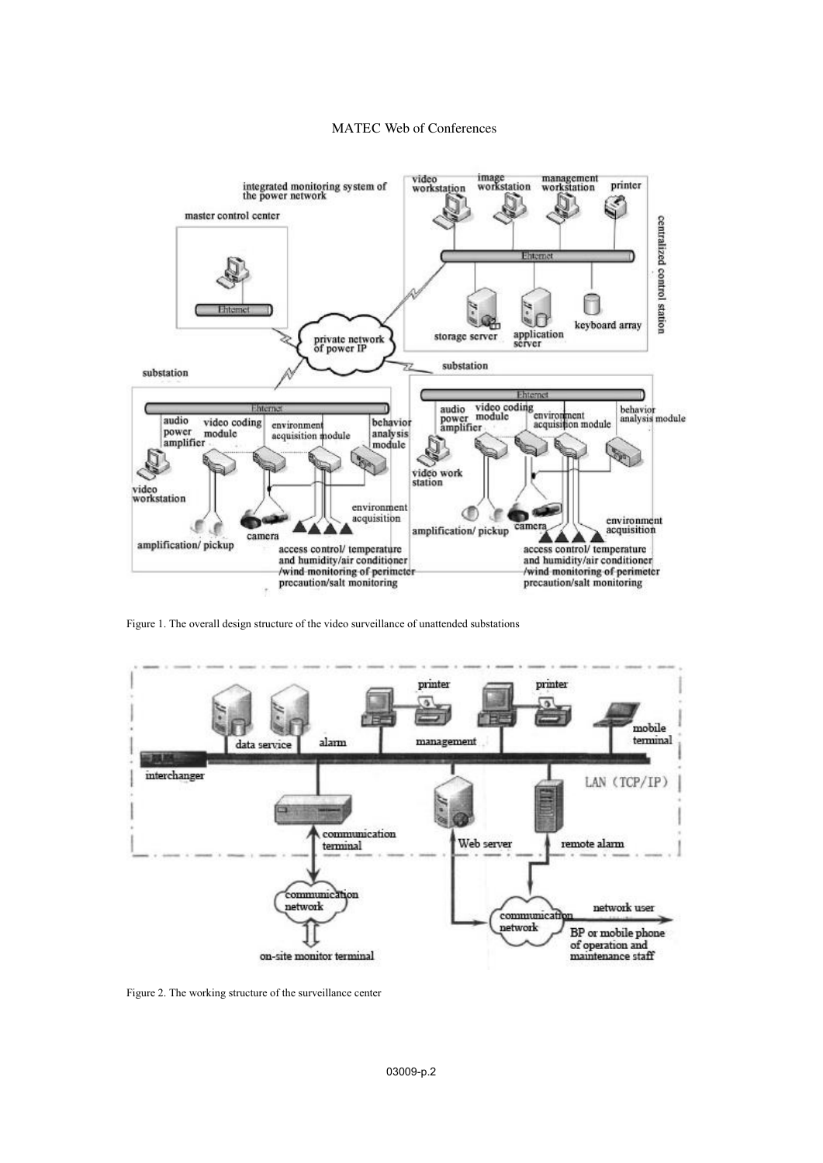# MATEC Web of Conferences



Figure 1. The overall design structure of the video surveillance of unattended substations



Figure 2. The working structure of the surveillance center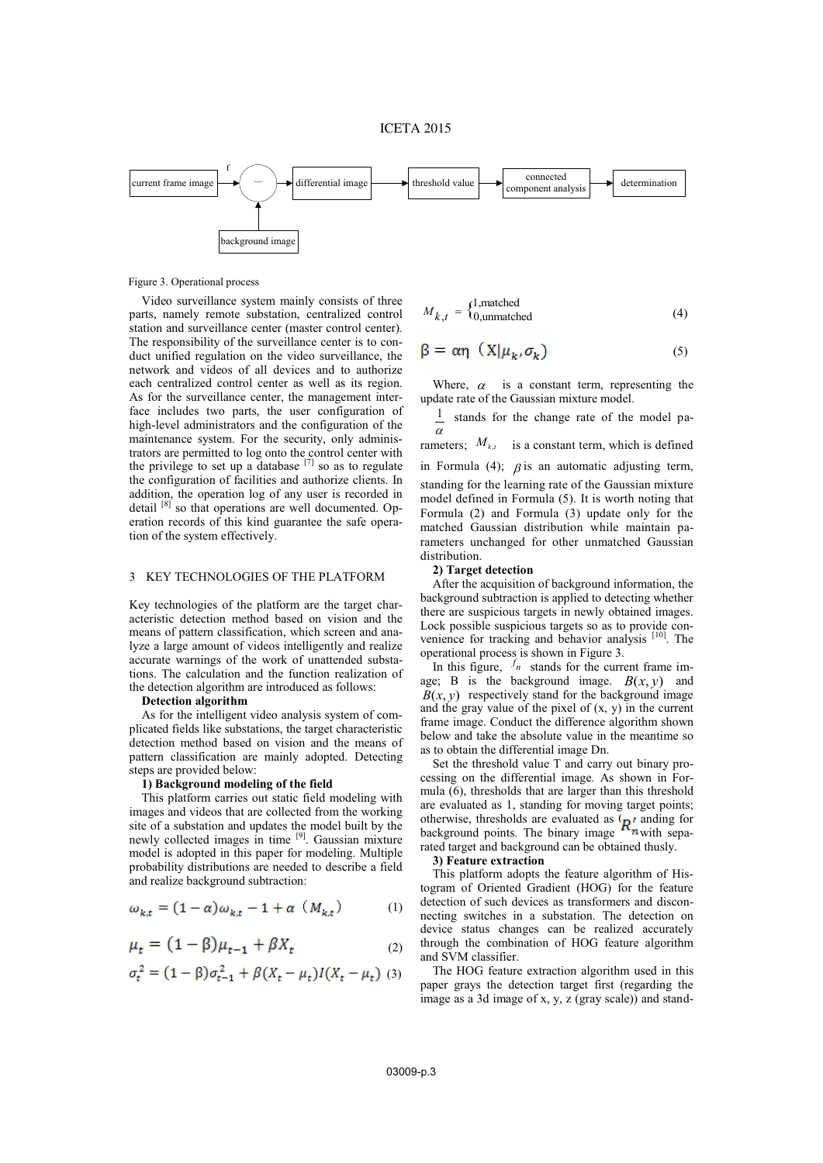

## Figure 3. Operational process

Video surveillance system mainly consists of three parts, namely remote substation, centralized control station and surveillance center (master control center). The responsibility of the surveillance center is to conduct unified regulation on the video surveillance, the network and videos of all devices and to authorize each centralized control center as well as its region. As for the surveillance center, the management interface includes two parts, the user configuration of high-level administrators and the configuration of the maintenance system. For the security, only administrators are permitted to log onto the control center with the privilege to set up a database  $^{[7]}$  so as to regulate the configuration of facilities and authorize clients. In addition, the operation log of any user is recorded in detail  $^{[8]}$  so that operations are well documented. Operation records of this kind guarantee the safe operation of the system effectively.

#### 3 KEY TECHNOLOGIES OF THE PLATFORM

Key technologies of the platform are the target characteristic detection method based on vision and the means of pattern classification, which screen and analyze a large amount of videos intelligently and realize accurate warnings of the work of unattended substations. The calculation and the function realization of the detection algorithm are introduced as follows:

#### **Detection algorithm**

As for the intelligent video analysis system of complicated fields like substations, the target characteristic detection method based on vision and the means of pattern classification are mainly adopted. Detecting steps are provided below:

#### **1) Background modeling of the field**

This platform carries out static field modeling with images and videos that are collected from the working site of a substation and updates the model built by the newly collected images in time [9]. Gaussian mixture model is adopted in this paper for modeling. Multiple probability distributions are needed to describe a field and realize background subtraction: g

$$
\omega_{k,t} = (1 - \alpha)\omega_{k,t} - 1 + \alpha \ (M_{k,t}) \tag{1}
$$

$$
\mu_t = (1 - \beta)\mu_{t-1} + \beta X_t \tag{2}
$$

$$
\sigma_t^2 = (1 - \beta)\sigma_{t-1}^2 + \beta(X_t - \mu_t)I(X_t - \mu_t)
$$
 (3)

$$
M_{k,t} = \begin{cases} 1, \text{matched} \\ 0, \text{unmatched} \end{cases} \tag{4}
$$

$$
\beta = \alpha \eta \left( X | \mu_k, \sigma_k \right) \tag{5}
$$

Where,  $\alpha$  is a constant term, representing the update rate of the Gaussian mixture model.

1 α stands for the change rate of the model pa-

rameters;  $M_{k,t}$  is a constant term, which is defined

in Formula (4);  $\beta$  is an automatic adjusting term, standing for the learning rate of the Gaussian mixture model defined in Formula (5). It is worth noting that Formula (2) and Formula (3) update only for the matched Gaussian distribution while maintain parameters unchanged for other unmatched Gaussian distribution.

## **2) Target detection**

After the acquisition of background information, the background subtraction is applied to detecting whether there are suspicious targets in newly obtained images. Lock possible suspicious targets so as to provide convenience for tracking and behavior analysis [10]. The operational process is shown in Figure 3.

In this figure,  $f_n$  stands for the current frame image; B is the background image.  $B(x, y)$  and  $B(x, y)$  respectively stand for the background image and the gray value of the pixel of  $(x, y)$  in the current frame image. Conduct the difference algorithm shown below and take the absolute value in the meantime so as to obtain the differential image Dn.

Set the threshold value T and carry out binary processing on the differential image. As shown in Formula (6), thresholds that are larger than this threshold are evaluated as 1, standing for moving target points; otherwise, thresholds are evaluated as  $\mathbf{Q}$  anding for background points. The binary image  $\mathbb{R}^n$  with separated target and background can be obtained thusly.

#### **3) Feature extraction**

This platform adopts the feature algorithm of Histogram of Oriented Gradient (HOG) for the feature detection of such devices as transformers and disconnecting switches in a substation. The detection on device status changes can be realized accurately through the combination of HOG feature algorithm and SVM classifier.

The HOG feature extraction algorithm used in this paper grays the detection target first (regarding the image as a 3d image of x, y, z (gray scale)) and stand-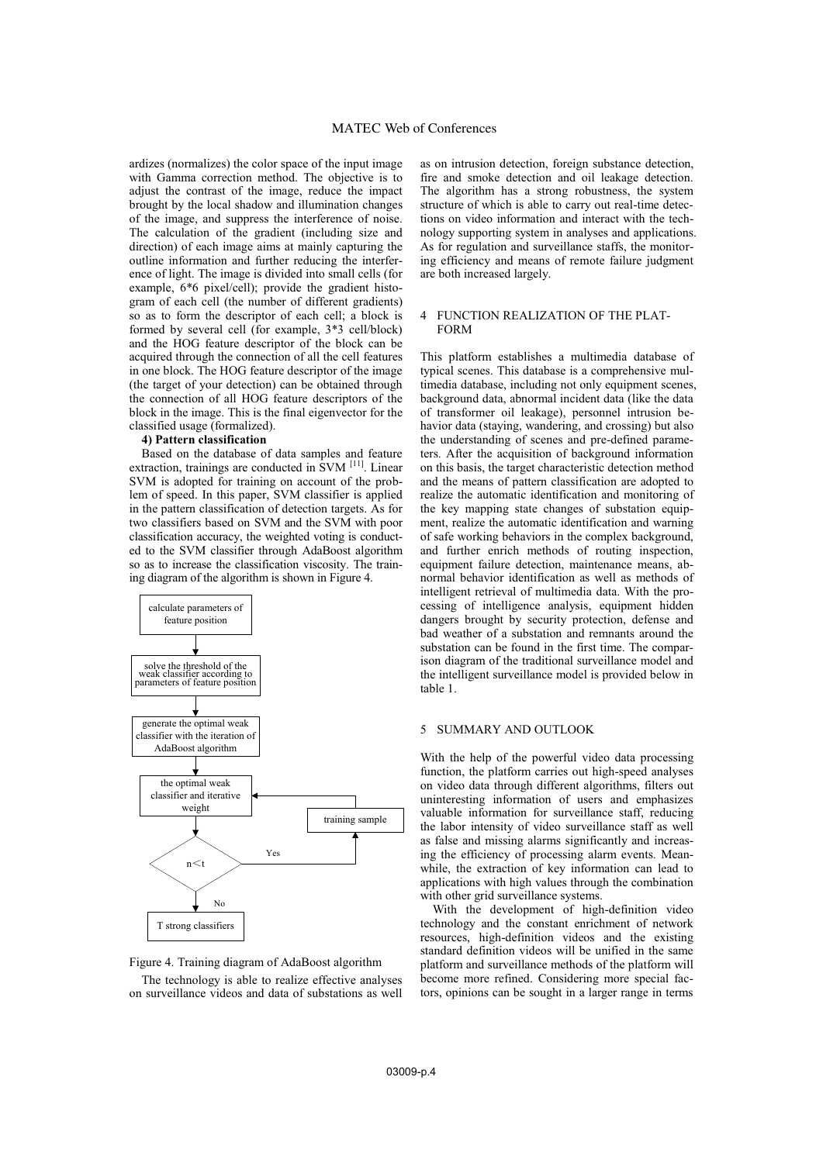# MATEC Web of Conferences

ardizes (normalizes) the color space of the input image with Gamma correction method. The objective is to adjust the contrast of the image, reduce the impact brought by the local shadow and illumination changes of the image, and suppress the interference of noise. The calculation of the gradient (including size and direction) of each image aims at mainly capturing the outline information and further reducing the interference of light. The image is divided into small cells (for example, 6\*6 pixel/cell); provide the gradient histogram of each cell (the number of different gradients) so as to form the descriptor of each cell; a block is formed by several cell (for example, 3\*3 cell/block) and the HOG feature descriptor of the block can be acquired through the connection of all the cell features in one block. The HOG feature descriptor of the image (the target of your detection) can be obtained through the connection of all HOG feature descriptors of the block in the image. This is the final eigenvector for the classified usage (formalized).

#### **4) Pattern classification**

Based on the database of data samples and feature extraction, trainings are conducted in SVM [11]. Linear SVM is adopted for training on account of the problem of speed. In this paper, SVM classifier is applied in the pattern classification of detection targets. As for two classifiers based on SVM and the SVM with poor classification accuracy, the weighted voting is conducted to the SVM classifier through AdaBoost algorithm so as to increase the classification viscosity. The training diagram of the algorithm is shown in Figure 4.





The technology is able to realize effective analyses on surveillance videos and data of substations as well as on intrusion detection, foreign substance detection, fire and smoke detection and oil leakage detection. The algorithm has a strong robustness, the system structure of which is able to carry out real-time detections on video information and interact with the technology supporting system in analyses and applications. As for regulation and surveillance staffs, the monitoring efficiency and means of remote failure judgment are both increased largely.

## 4 FUNCTION REALIZATION OF THE PLAT-FORM

This platform establishes a multimedia database of typical scenes. This database is a comprehensive multimedia database, including not only equipment scenes, background data, abnormal incident data (like the data of transformer oil leakage), personnel intrusion behavior data (staying, wandering, and crossing) but also the understanding of scenes and pre-defined parameters. After the acquisition of background information on this basis, the target characteristic detection method and the means of pattern classification are adopted to realize the automatic identification and monitoring of the key mapping state changes of substation equipment, realize the automatic identification and warning of safe working behaviors in the complex background, and further enrich methods of routing inspection, equipment failure detection, maintenance means, abnormal behavior identification as well as methods of intelligent retrieval of multimedia data. With the processing of intelligence analysis, equipment hidden dangers brought by security protection, defense and bad weather of a substation and remnants around the substation can be found in the first time. The comparison diagram of the traditional surveillance model and the intelligent surveillance model is provided below in table 1.

#### 5 SUMMARY AND OUTLOOK

With the help of the powerful video data processing function, the platform carries out high-speed analyses on video data through different algorithms, filters out uninteresting information of users and emphasizes valuable information for surveillance staff, reducing the labor intensity of video surveillance staff as well as false and missing alarms significantly and increasing the efficiency of processing alarm events. Meanwhile, the extraction of key information can lead to applications with high values through the combination with other grid surveillance systems.

With the development of high-definition video technology and the constant enrichment of network resources, high-definition videos and the existing standard definition videos will be unified in the same platform and surveillance methods of the platform will become more refined. Considering more special factors, opinions can be sought in a larger range in terms